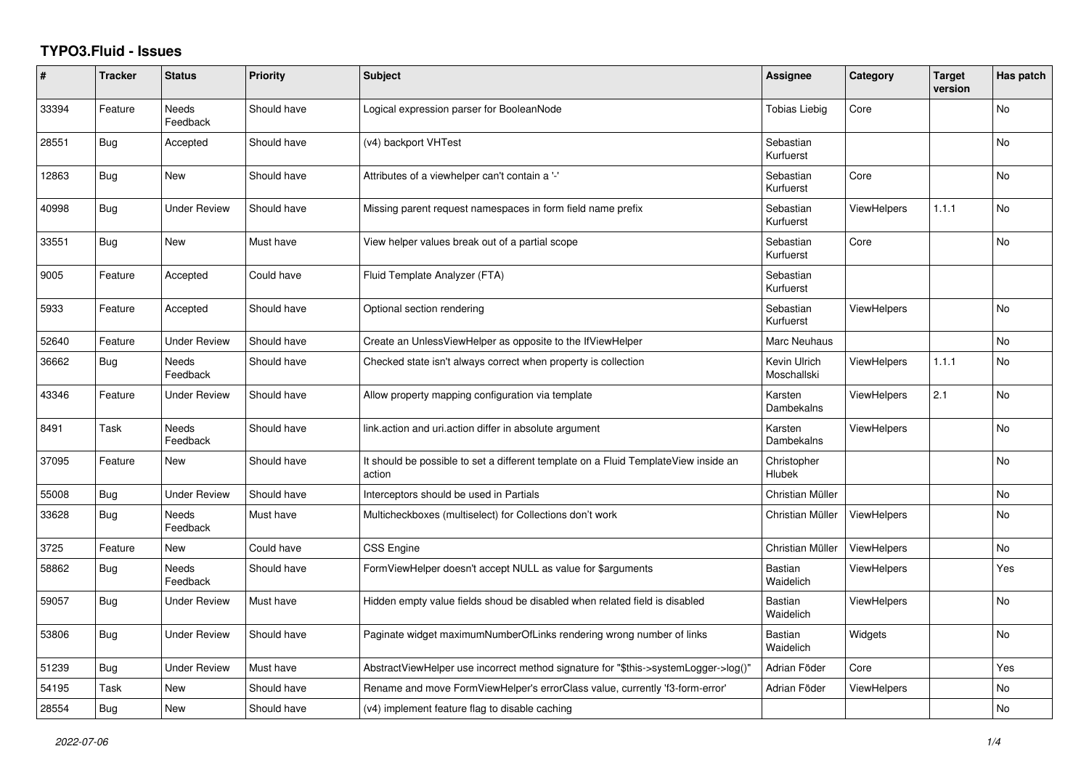## **TYPO3.Fluid - Issues**

| #     | <b>Tracker</b> | <b>Status</b>            | Priority    | <b>Subject</b>                                                                                | Assignee                    | Category           | <b>Target</b><br>version | Has patch |
|-------|----------------|--------------------------|-------------|-----------------------------------------------------------------------------------------------|-----------------------------|--------------------|--------------------------|-----------|
| 33394 | Feature        | Needs<br>Feedback        | Should have | Logical expression parser for BooleanNode                                                     | Tobias Liebig               | Core               |                          | No        |
| 28551 | Bug            | Accepted                 | Should have | (v4) backport VHTest                                                                          | Sebastian<br>Kurfuerst      |                    |                          | <b>No</b> |
| 12863 | <b>Bug</b>     | <b>New</b>               | Should have | Attributes of a viewhelper can't contain a '-'                                                | Sebastian<br>Kurfuerst      | Core               |                          | <b>No</b> |
| 40998 | Bug            | Under Review             | Should have | Missing parent request namespaces in form field name prefix                                   | Sebastian<br>Kurfuerst      | ViewHelpers        | 1.1.1                    | No        |
| 33551 | <b>Bug</b>     | <b>New</b>               | Must have   | View helper values break out of a partial scope                                               | Sebastian<br>Kurfuerst      | Core               |                          | <b>No</b> |
| 9005  | Feature        | Accepted                 | Could have  | Fluid Template Analyzer (FTA)                                                                 | Sebastian<br>Kurfuerst      |                    |                          |           |
| 5933  | Feature        | Accepted                 | Should have | Optional section rendering                                                                    | Sebastian<br>Kurfuerst      | <b>ViewHelpers</b> |                          | <b>No</b> |
| 52640 | Feature        | <b>Under Review</b>      | Should have | Create an UnlessViewHelper as opposite to the IfViewHelper                                    | Marc Neuhaus                |                    |                          | No        |
| 36662 | Bug            | <b>Needs</b><br>Feedback | Should have | Checked state isn't always correct when property is collection                                | Kevin Ulrich<br>Moschallski | <b>ViewHelpers</b> | 1.1.1                    | <b>No</b> |
| 43346 | Feature        | Under Review             | Should have | Allow property mapping configuration via template                                             | Karsten<br>Dambekalns       | <b>ViewHelpers</b> | 2.1                      | No        |
| 8491  | Task           | Needs<br>Feedback        | Should have | link action and uri action differ in absolute argument                                        | Karsten<br>Dambekalns       | <b>ViewHelpers</b> |                          | No        |
| 37095 | Feature        | <b>New</b>               | Should have | It should be possible to set a different template on a Fluid TemplateView inside an<br>action | Christopher<br>Hlubek       |                    |                          | <b>No</b> |
| 55008 | <b>Bug</b>     | <b>Under Review</b>      | Should have | Interceptors should be used in Partials                                                       | Christian Müller            |                    |                          | <b>No</b> |
| 33628 | <b>Bug</b>     | Needs<br>Feedback        | Must have   | Multicheckboxes (multiselect) for Collections don't work                                      | Christian Müller            | <b>ViewHelpers</b> |                          | No        |
| 3725  | Feature        | <b>New</b>               | Could have  | CSS Engine                                                                                    | Christian Müller            | ViewHelpers        |                          | <b>No</b> |
| 58862 | <b>Bug</b>     | Needs<br>Feedback        | Should have | FormViewHelper doesn't accept NULL as value for \$arguments                                   | <b>Bastian</b><br>Waidelich | <b>ViewHelpers</b> |                          | Yes       |
| 59057 | <b>Bug</b>     | <b>Under Review</b>      | Must have   | Hidden empty value fields shoud be disabled when related field is disabled                    | <b>Bastian</b><br>Waidelich | <b>ViewHelpers</b> |                          | No        |
| 53806 | Bug            | <b>Under Review</b>      | Should have | Paginate widget maximumNumberOfLinks rendering wrong number of links                          | <b>Bastian</b><br>Waidelich | Widgets            |                          | <b>No</b> |
| 51239 | <b>Bug</b>     | <b>Under Review</b>      | Must have   | AbstractViewHelper use incorrect method signature for "\$this->systemLogger->log()"           | Adrian Föder                | Core               |                          | Yes       |
| 54195 | Task           | New                      | Should have | Rename and move FormViewHelper's errorClass value, currently 'f3-form-error'                  | Adrian Föder                | <b>ViewHelpers</b> |                          | No        |
| 28554 | <b>Bug</b>     | <b>New</b>               | Should have | (v4) implement feature flag to disable caching                                                |                             |                    |                          | <b>No</b> |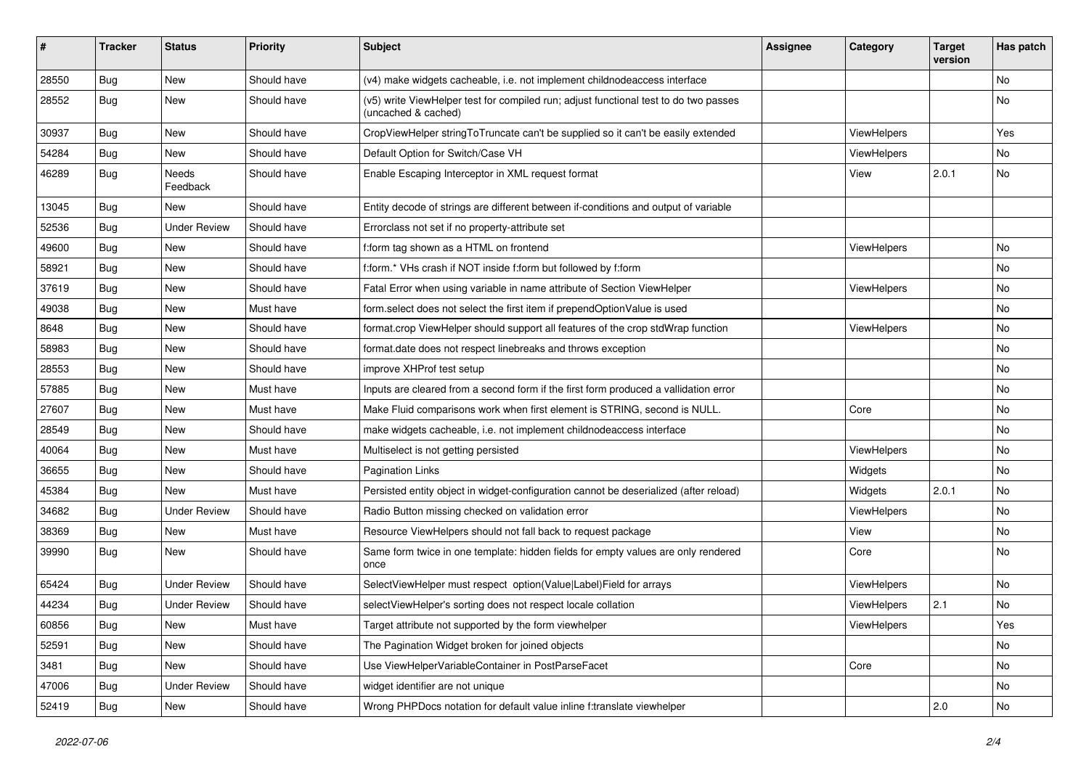| ∦     | <b>Tracker</b> | <b>Status</b>            | <b>Priority</b> | <b>Subject</b>                                                                                              | <b>Assignee</b> | Category    | <b>Target</b><br>version | Has patch |
|-------|----------------|--------------------------|-----------------|-------------------------------------------------------------------------------------------------------------|-----------------|-------------|--------------------------|-----------|
| 28550 | Bug            | New                      | Should have     | (v4) make widgets cacheable, i.e. not implement childnodeaccess interface                                   |                 |             |                          | No        |
| 28552 | Bug            | New                      | Should have     | (v5) write ViewHelper test for compiled run; adjust functional test to do two passes<br>(uncached & cached) |                 |             |                          | No        |
| 30937 | Bug            | <b>New</b>               | Should have     | CropViewHelper stringToTruncate can't be supplied so it can't be easily extended                            |                 | ViewHelpers |                          | Yes       |
| 54284 | Bug            | New                      | Should have     | Default Option for Switch/Case VH                                                                           |                 | ViewHelpers |                          | No.       |
| 46289 | Bug            | <b>Needs</b><br>Feedback | Should have     | Enable Escaping Interceptor in XML request format                                                           |                 | View        | 2.0.1                    | No        |
| 13045 | Bug            | New                      | Should have     | Entity decode of strings are different between if-conditions and output of variable                         |                 |             |                          |           |
| 52536 | Bug            | <b>Under Review</b>      | Should have     | Errorclass not set if no property-attribute set                                                             |                 |             |                          |           |
| 49600 | Bug            | New                      | Should have     | f:form tag shown as a HTML on frontend                                                                      |                 | ViewHelpers |                          | No.       |
| 58921 | Bug            | New                      | Should have     | f:form.* VHs crash if NOT inside f:form but followed by f:form                                              |                 |             |                          | No        |
| 37619 | Bug            | New                      | Should have     | Fatal Error when using variable in name attribute of Section ViewHelper                                     |                 | ViewHelpers |                          | No        |
| 49038 | <b>Bug</b>     | New                      | Must have       | form select does not select the first item if prependOptionValue is used                                    |                 |             |                          | No        |
| 8648  | Bug            | New                      | Should have     | format.crop ViewHelper should support all features of the crop stdWrap function                             |                 | ViewHelpers |                          | No.       |
| 58983 | <b>Bug</b>     | New                      | Should have     | format.date does not respect linebreaks and throws exception                                                |                 |             |                          | No        |
| 28553 | Bug            | New                      | Should have     | improve XHProf test setup                                                                                   |                 |             |                          | No        |
| 57885 | Bug            | New                      | Must have       | Inputs are cleared from a second form if the first form produced a vallidation error                        |                 |             |                          | No        |
| 27607 | Bug            | New                      | Must have       | Make Fluid comparisons work when first element is STRING, second is NULL.                                   |                 | Core        |                          | No        |
| 28549 | Bug            | New                      | Should have     | make widgets cacheable, i.e. not implement childnodeaccess interface                                        |                 |             |                          | No        |
| 40064 | Bug            | New                      | Must have       | Multiselect is not getting persisted                                                                        |                 | ViewHelpers |                          | No        |
| 36655 | Bug            | New                      | Should have     | <b>Pagination Links</b>                                                                                     |                 | Widgets     |                          | No        |
| 45384 | Bug            | <b>New</b>               | Must have       | Persisted entity object in widget-configuration cannot be deserialized (after reload)                       |                 | Widgets     | 2.0.1                    | No        |
| 34682 | Bug            | <b>Under Review</b>      | Should have     | Radio Button missing checked on validation error                                                            |                 | ViewHelpers |                          | No.       |
| 38369 | Bug            | New                      | Must have       | Resource ViewHelpers should not fall back to request package                                                |                 | View        |                          | No        |
| 39990 | Bug            | New                      | Should have     | Same form twice in one template: hidden fields for empty values are only rendered<br>once                   |                 | Core        |                          | No        |
| 65424 | <b>Bug</b>     | <b>Under Review</b>      | Should have     | SelectViewHelper must respect option(Value Label)Field for arrays                                           |                 | ViewHelpers |                          | No        |
| 44234 | <b>Bug</b>     | <b>Under Review</b>      | Should have     | selectViewHelper's sorting does not respect locale collation                                                |                 | ViewHelpers | 2.1                      | No        |
| 60856 | <b>Bug</b>     | New                      | Must have       | Target attribute not supported by the form viewhelper                                                       |                 | ViewHelpers |                          | Yes       |
| 52591 | <b>Bug</b>     | New                      | Should have     | The Pagination Widget broken for joined objects                                                             |                 |             |                          | No        |
| 3481  | <b>Bug</b>     | New                      | Should have     | Use ViewHelperVariableContainer in PostParseFacet                                                           |                 | Core        |                          | No        |
| 47006 | Bug            | <b>Under Review</b>      | Should have     | widget identifier are not unique                                                                            |                 |             |                          | No        |
| 52419 | <b>Bug</b>     | New                      | Should have     | Wrong PHPDocs notation for default value inline f:translate viewhelper                                      |                 |             | 2.0                      | No        |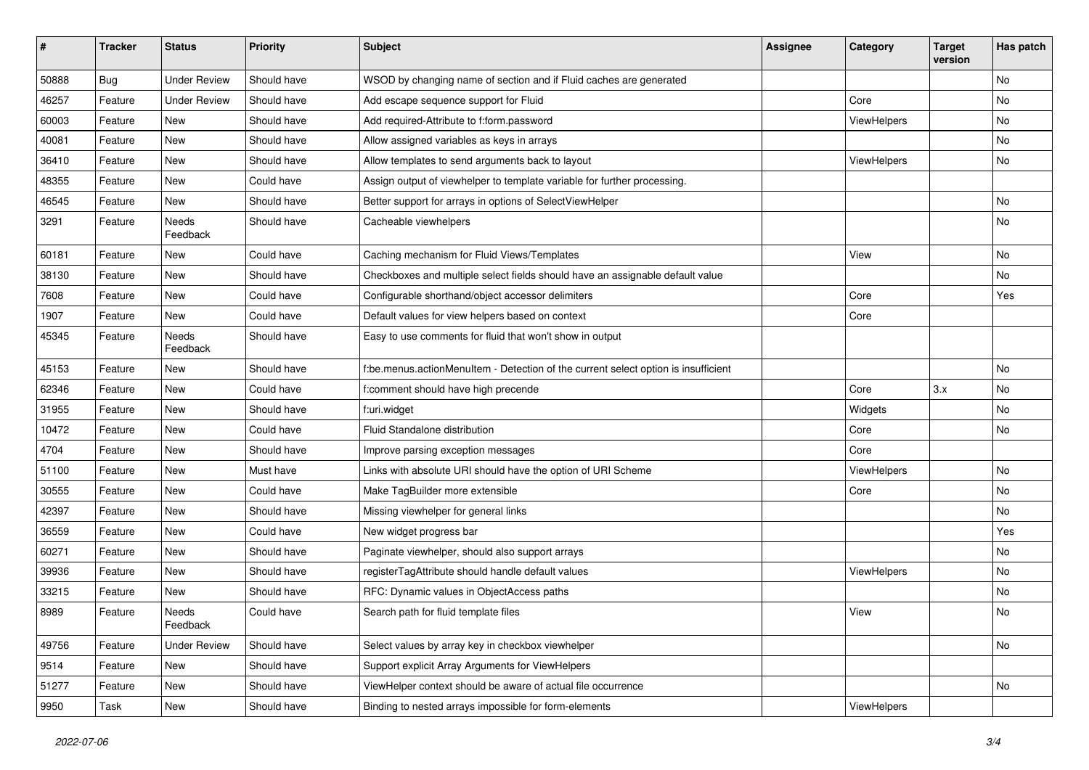| $\pmb{\#}$ | <b>Tracker</b> | <b>Status</b>       | <b>Priority</b> | <b>Subject</b>                                                                     | <b>Assignee</b> | Category    | <b>Target</b><br>version | Has patch |
|------------|----------------|---------------------|-----------------|------------------------------------------------------------------------------------|-----------------|-------------|--------------------------|-----------|
| 50888      | Bug            | <b>Under Review</b> | Should have     | WSOD by changing name of section and if Fluid caches are generated                 |                 |             |                          | <b>No</b> |
| 46257      | Feature        | <b>Under Review</b> | Should have     | Add escape sequence support for Fluid                                              |                 | Core        |                          | No        |
| 60003      | Feature        | New                 | Should have     | Add required-Attribute to f:form.password                                          |                 | ViewHelpers |                          | No        |
| 40081      | Feature        | <b>New</b>          | Should have     | Allow assigned variables as keys in arrays                                         |                 |             |                          | No        |
| 36410      | Feature        | New                 | Should have     | Allow templates to send arguments back to layout                                   |                 | ViewHelpers |                          | No        |
| 48355      | Feature        | New                 | Could have      | Assign output of viewhelper to template variable for further processing.           |                 |             |                          |           |
| 46545      | Feature        | New                 | Should have     | Better support for arrays in options of SelectViewHelper                           |                 |             |                          | No        |
| 3291       | Feature        | Needs<br>Feedback   | Should have     | Cacheable viewhelpers                                                              |                 |             |                          | No        |
| 60181      | Feature        | New                 | Could have      | Caching mechanism for Fluid Views/Templates                                        |                 | View        |                          | No        |
| 38130      | Feature        | New                 | Should have     | Checkboxes and multiple select fields should have an assignable default value      |                 |             |                          | No        |
| 7608       | Feature        | New                 | Could have      | Configurable shorthand/object accessor delimiters                                  |                 | Core        |                          | Yes       |
| 1907       | Feature        | New                 | Could have      | Default values for view helpers based on context                                   |                 | Core        |                          |           |
| 45345      | Feature        | Needs<br>Feedback   | Should have     | Easy to use comments for fluid that won't show in output                           |                 |             |                          |           |
| 45153      | Feature        | New                 | Should have     | f:be.menus.actionMenuItem - Detection of the current select option is insufficient |                 |             |                          | No        |
| 62346      | Feature        | <b>New</b>          | Could have      | f:comment should have high precende                                                |                 | Core        | 3.x                      | <b>No</b> |
| 31955      | Feature        | New                 | Should have     | f:uri.widget                                                                       |                 | Widgets     |                          | No        |
| 10472      | Feature        | New                 | Could have      | Fluid Standalone distribution                                                      |                 | Core        |                          | <b>No</b> |
| 4704       | Feature        | New                 | Should have     | Improve parsing exception messages                                                 |                 | Core        |                          |           |
| 51100      | Feature        | New                 | Must have       | Links with absolute URI should have the option of URI Scheme                       |                 | ViewHelpers |                          | No        |
| 30555      | Feature        | <b>New</b>          | Could have      | Make TagBuilder more extensible                                                    |                 | Core        |                          | No        |
| 42397      | Feature        | New                 | Should have     | Missing viewhelper for general links                                               |                 |             |                          | No        |
| 36559      | Feature        | New                 | Could have      | New widget progress bar                                                            |                 |             |                          | Yes       |
| 60271      | Feature        | New                 | Should have     | Paginate viewhelper, should also support arrays                                    |                 |             |                          | No        |
| 39936      | Feature        | New                 | Should have     | registerTagAttribute should handle default values                                  |                 | ViewHelpers |                          | No        |
| 33215      | Feature        | <b>New</b>          | Should have     | RFC: Dynamic values in ObjectAccess paths                                          |                 |             |                          | No        |
| 8989       | Feature        | Needs<br>Feedback   | Could have      | Search path for fluid template files                                               |                 | View        |                          | No        |
| 49756      | Feature        | <b>Under Review</b> | Should have     | Select values by array key in checkbox viewhelper                                  |                 |             |                          | No        |
| 9514       | Feature        | New                 | Should have     | Support explicit Array Arguments for ViewHelpers                                   |                 |             |                          |           |
| 51277      | Feature        | New                 | Should have     | ViewHelper context should be aware of actual file occurrence                       |                 |             |                          | No        |
| 9950       | Task           | New                 | Should have     | Binding to nested arrays impossible for form-elements                              |                 | ViewHelpers |                          |           |